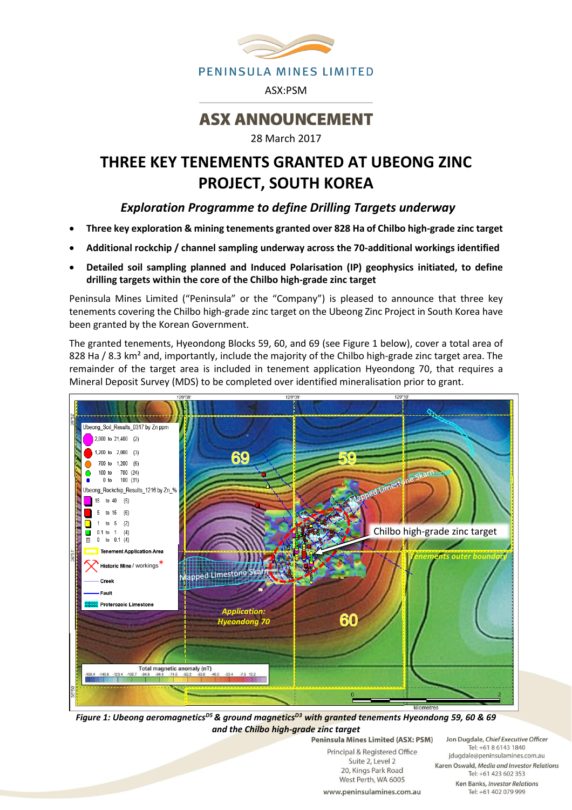

## **ASX ANNOUNCEMENT**

### 28 March 2017

# **THREE KEY TENEMENTS GRANTED AT UBEONG ZINC PROJECT, SOUTH KOREA**

## *Exploration Programme to define Drilling Targets underway*

- **Three key exploration & mining tenements granted over 828 Ha of Chilbo high-grade zinc target**
- **Additional rockchip / channel sampling underway across the 70-additional workings identified**
- **Detailed soil sampling planned and Induced Polarisation (IP) geophysics initiated, to define drilling targets within the core of the Chilbo high-grade zinc target**

Peninsula Mines Limited ("Peninsula" or the "Company") is pleased to announce that three key tenements covering the Chilbo high-grade zinc target on the Ubeong Zinc Project in South Korea have been granted by the Korean Government.

The granted tenements, Hyeondong Blocks 59, 60, and 69 (see Figure 1 below), cover a total area of 828 Ha / 8.3 km<sup>2</sup> and, importantly, include the majority of the Chilbo high-grade zinc target area. The remainder of the target area is included in tenement application Hyeondong 70, that requires a Mineral Deposit Survey (MDS) to be completed over identified mineralisation prior to grant.



*Figure 1: Ubeong aeromagneticsD5 & ground magneticsD3 with granted tenements Hyeondong 59, 60 & 69 and the Chilbo high-grade zinc target*

Principal & Registered Office Suite 2, Level 2 20, Kings Park Road West Perth, WA 6005 www.peninsulamines.com.au

Jon Dugdale, Chief Executive Officer Tel: +61 8 6143 1840 jdugdale@peninsulamines.com.au Karen Oswald, Media and Investor Relations Tel: +61 423 602 353 **Ken Banks, Investor Relations** Tel: +61 402 079 999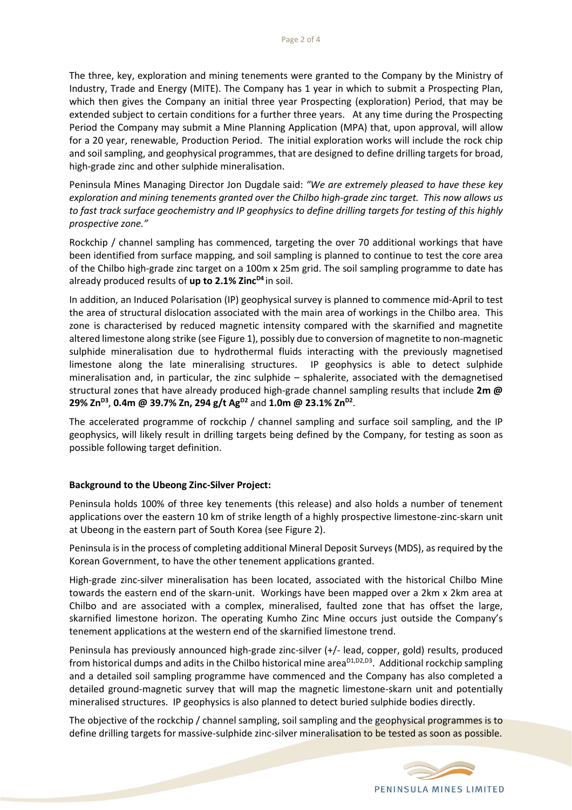The three, key, exploration and mining tenements were granted to the Company by the Ministry of Industry, Trade and Energy (MITE). The Company has 1 year in which to submit a Prospecting Plan, which then gives the Company an initial three year Prospecting (exploration) Period, that may be extended subject to certain conditions for a further three years. At any time during the Prospecting Period the Company may submit a Mine Planning Application (MPA) that, upon approval, will allow for a 20 year, renewable, Production Period. The initial exploration works will include the rock chip and soil sampling, and geophysical programmes, that are designed to define drilling targets for broad, high-grade zinc and other sulphide mineralisation.

Peninsula Mines Managing Director Jon Dugdale said: *"We are extremely pleased to have these key exploration and mining tenements granted over the Chilbo high-grade zinc target. This now allows us* to fast track surface geochemistry and IP geophysics to define drilling targets for testing of this highly *prospective zone."*

Rockchip / channel sampling has commenced, targeting the over 70 additional workings that have been identified from surface mapping, and soil sampling is planned to continue to test the core area of the Chilbo high-grade zinc target on a 100m x 25m grid. The soil sampling programme to date has already produced results of **up to 2.1% ZincD4** in soil.

In addition, an Induced Polarisation (IP) geophysical survey is planned to commence mid-April to test the area of structural dislocation associated with the main area of workings in the Chilbo area. This zone is characterised by reduced magnetic intensity compared with the skarnified and magnetite altered limestone along strike (see Figure 1), possibly due to conversion of magnetite to non-magnetic sulphide mineralisation due to hydrothermal fluids interacting with the previously magnetised limestone along the late mineralising structures. IP geophysics is able to detect sulphide mineralisation and, in particular, the zinc sulphide – sphalerite, associated with the demagnetised structural zones that have already produced high-grade channel sampling results that include **2m @ 29% ZnD3** , **0.4m @ 39.7% Zn, 294 g/t AgD2** and **1.0m @ 23.1% ZnD2** .

The accelerated programme of rockchip / channel sampling and surface soil sampling, and the IP geophysics, will likely result in drilling targets being defined by the Company, for testing as soon as possible following target definition.

#### **Background to the Ubeong Zinc-Silver Project:**

Peninsula holds 100% of three key tenements (this release) and also holds a number of tenement applications over the eastern 10 km of strike length of a highly prospective limestone-zinc-skarn unit at Ubeong in the eastern part of South Korea (see Figure 2).

Peninsula is in the process of completing additional Mineral Deposit Surveys (MDS), as required by the Korean Government, to have the other tenement applications granted.

High-grade zinc-silver mineralisation has been located, associated with the historical Chilbo Mine towards the eastern end of the skarn-unit. Workings have been mapped over a 2km x 2km area at Chilbo and are associated with a complex, mineralised, faulted zone that has offset the large, skarnified limestone horizon. The operating Kumho Zinc Mine occurs just outside the Company's tenement applications at the western end of the skarnified limestone trend.

Peninsula has previously announced high-grade zinc-silver (+/- lead, copper, gold) results, produced from historical dumps and adits in the Chilbo historical mine area<sup>D1,D2,D3</sup>. Additional rockchip sampling and a detailed soil sampling programme have commenced and the Company has also completed a detailed ground-magnetic survey that will map the magnetic limestone-skarn unit and potentially mineralised structures. IP geophysics is also planned to detect buried sulphide bodies directly.

The objective of the rockchip / channel sampling, soil sampling and the geophysical programmes is to define drilling targets for massive-sulphide zinc-silver mineralisation to be tested as soon as possible.

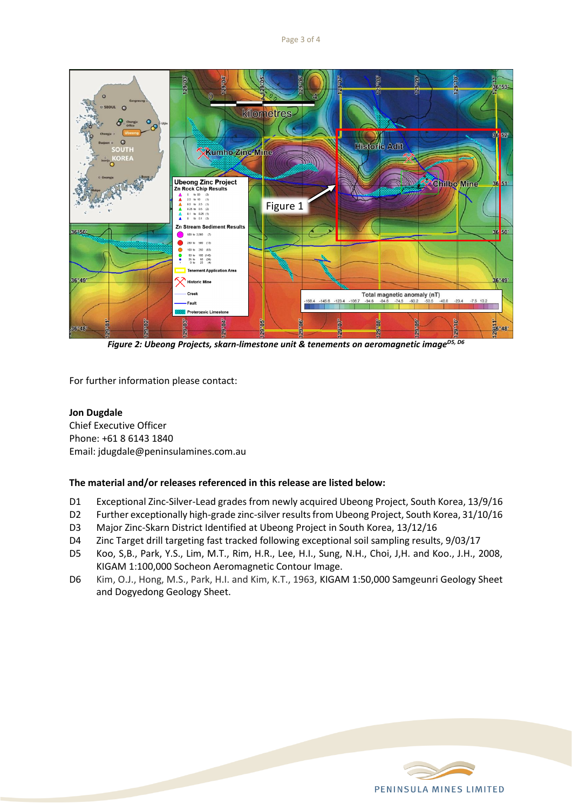

*Figure 2: Ubeong Projects, skarn-limestone unit & tenements on aeromagnetic imageD5, D6*

For further information please contact:

#### **Jon Dugdale**

Chief Executive Officer Phone: +61 8 6143 1840 Email: jdugdale@peninsulamines.com.au

#### **The material and/or releases referenced in this release are listed below:**

- D1 Exceptional Zinc-Silver-Lead grades from newly acquired Ubeong Project, South Korea, 13/9/16
- D2 Further exceptionally high-grade zinc-silver results from Ubeong Project, South Korea, 31/10/16
- D3 Major Zinc-Skarn District Identified at Ubeong Project in South Korea, 13/12/16
- D4 Zinc Target drill targeting fast tracked following exceptional soil sampling results, 9/03/17
- D5 Koo, S,B., Park, Y.S., Lim, M.T., Rim, H.R., Lee, H.I., Sung, N.H., Choi, J,H. and Koo., J.H., 2008, KIGAM 1:100,000 Socheon Aeromagnetic Contour Image.
- D6 Kim, O.J., Hong, M.S., Park, H.I. and Kim, K.T., 1963, KIGAM 1:50,000 Samgeunri Geology Sheet and Dogyedong Geology Sheet.